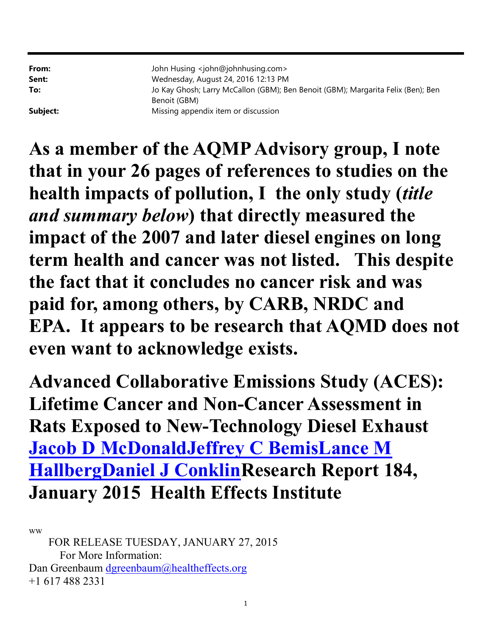**From:** John Husing <john@johnhusing.com> Sent: Wednesday, August 24, 2016 12:13 PM To: Jo Kay Ghosh; Larry McCallon (GBM); Ben Benoit (GBM); Margarita Felix (Ben); Ben Benoit (GBM) **Subject:** Missing appendix item or discussion

As a member of the AQMP Advisory group, I note that in your 26 pages of references to studies on the health impacts of pollution, I the only study (title and summary below) that directly measured the impact of the 2007 and later diesel engines on long term health and cancer was not listed. This despite the fact that it concludes no cancer risk and was paid for, among others, by CARB, NRDC and EPA. It appears to be research that AQMD does not even want to acknowledge exists.

Advanced Collaborative Emissions Study (ACES): Lifetime Cancer and Non-Cancer Assessment in Rats Exposed to New-Technology Diesel Exhaust Jacob D McDonaldJeffrey C BemisLance M HallbergDaniel J ConklinResearch Report 184, January 2015 Health Effects Institute

ww

 FOR RELEASE TUESDAY, JANUARY 27, 2015 For More Information: Dan Greenbaum dgreenbaum@healtheffects.org +1 617 488 2331